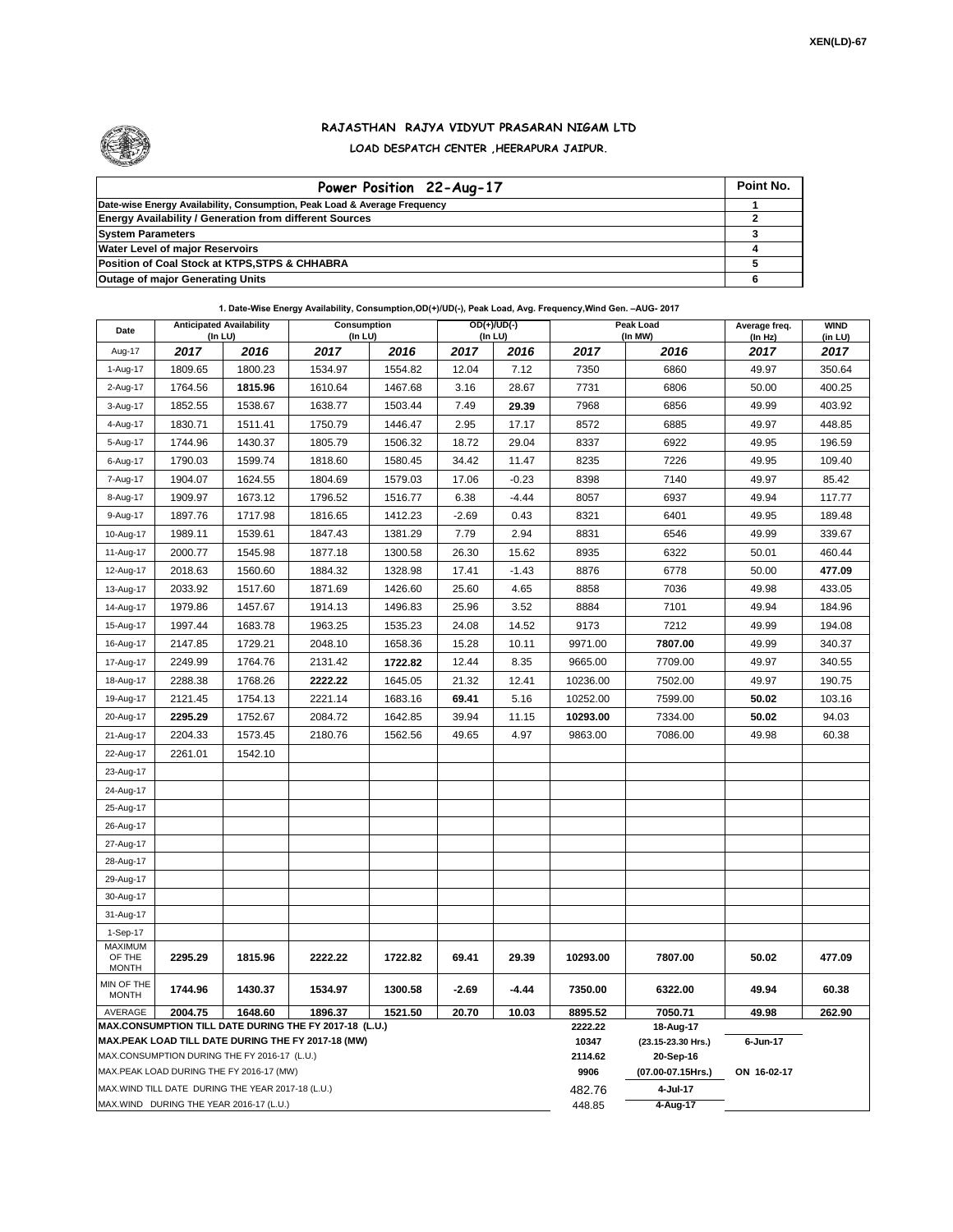

## **RAJASTHAN RAJYA VIDYUT PRASARAN NIGAM LTD LOAD DESPATCH CENTER ,HEERAPURA JAIPUR.**

| Power Position 22-Aug-17                                                  | Point No. |
|---------------------------------------------------------------------------|-----------|
| Date-wise Energy Availability, Consumption, Peak Load & Average Frequency |           |
| <b>Energy Availability / Generation from different Sources</b>            |           |
| <b>System Parameters</b>                                                  |           |
| <b>Water Level of major Reservoirs</b>                                    |           |
| Position of Coal Stock at KTPS, STPS & CHHABRA                            |           |
| <b>Outage of major Generating Units</b>                                   |           |

## **1. Date-Wise Energy Availability, Consumption,OD(+)/UD(-), Peak Load, Avg. Frequency,Wind Gen. –AUG- 2017**

| Date                                                                                               | <b>Anticipated Availability</b><br>(In LU) |         | Consumption<br>$($ In LU $)$                                      |         |          | $OD(+)/UD(-)$<br>(In LU) |                   | Peak Load<br>(In MW)            | Average freq.<br>(ln Hz) | <b>WIND</b><br>(in LU) |  |
|----------------------------------------------------------------------------------------------------|--------------------------------------------|---------|-------------------------------------------------------------------|---------|----------|--------------------------|-------------------|---------------------------------|--------------------------|------------------------|--|
| Aug-17                                                                                             | 2017                                       | 2016    | 2017                                                              | 2016    | 2017     | 2016                     | 2017              | 2016                            | 2017                     | 2017                   |  |
| 1-Aug-17                                                                                           | 1809.65                                    | 1800.23 | 1534.97                                                           | 1554.82 | 12.04    | 7.12                     | 7350              | 6860                            | 49.97                    | 350.64                 |  |
| 2-Aug-17                                                                                           | 1764.56                                    | 1815.96 | 1610.64                                                           | 1467.68 | 3.16     | 28.67                    | 7731              | 6806                            | 50.00                    | 400.25                 |  |
| 3-Aug-17                                                                                           | 1852.55                                    | 1538.67 | 1638.77                                                           | 1503.44 | 7.49     | 29.39                    | 7968              | 6856                            | 49.99                    | 403.92                 |  |
| 4-Aug-17                                                                                           | 1830.71                                    | 1511.41 | 1750.79                                                           | 1446.47 | 2.95     | 17.17                    | 8572              | 6885                            | 49.97                    | 448.85                 |  |
| 5-Aug-17                                                                                           | 1744.96                                    | 1430.37 | 1805.79                                                           | 1506.32 | 18.72    | 29.04                    | 8337              | 6922                            | 49.95                    | 196.59                 |  |
| 6-Aug-17                                                                                           | 1790.03                                    | 1599.74 | 1818.60                                                           | 1580.45 | 34.42    | 11.47                    | 8235              | 7226                            | 49.95                    | 109.40                 |  |
| 7-Aug-17                                                                                           | 1904.07                                    | 1624.55 | 1804.69                                                           | 1579.03 | 17.06    | $-0.23$                  | 8398              | 7140                            | 49.97                    | 85.42                  |  |
| 8-Aug-17                                                                                           | 1909.97                                    | 1673.12 | 1796.52                                                           | 1516.77 | 6.38     | $-4.44$                  | 8057              | 6937                            | 49.94                    | 117.77                 |  |
| 9-Aug-17                                                                                           | 1897.76                                    | 1717.98 | 1816.65                                                           | 1412.23 | $-2.69$  | 0.43                     | 8321              | 6401                            | 49.95                    | 189.48                 |  |
| 10-Aug-17                                                                                          | 1989.11                                    | 1539.61 | 1847.43                                                           | 1381.29 | 7.79     | 2.94                     | 8831              | 6546                            | 49.99                    | 339.67                 |  |
| 11-Aug-17                                                                                          | 2000.77                                    | 1545.98 | 1877.18                                                           | 1300.58 | 26.30    | 15.62                    | 8935              | 6322                            | 50.01                    | 460.44                 |  |
| 12-Aug-17                                                                                          | 2018.63                                    | 1560.60 | 1884.32                                                           | 1328.98 | 17.41    | $-1.43$                  | 8876              | 6778                            | 50.00                    | 477.09                 |  |
| 13-Aug-17                                                                                          | 2033.92                                    | 1517.60 | 1871.69                                                           | 1426.60 | 25.60    | 4.65                     | 8858              | 7036                            | 49.98                    | 433.05                 |  |
| 14-Aug-17                                                                                          | 1979.86                                    | 1457.67 | 1914.13                                                           | 1496.83 | 25.96    | 3.52                     | 8884              | 7101                            | 49.94                    | 184.96                 |  |
| 15-Aug-17                                                                                          | 1997.44                                    | 1683.78 | 1963.25                                                           | 1535.23 | 24.08    | 14.52                    | 9173              | 7212                            | 49.99                    | 194.08                 |  |
| 16-Aug-17                                                                                          | 2147.85                                    | 1729.21 | 2048.10                                                           | 1658.36 | 15.28    | 10.11                    | 9971.00           | 7807.00                         | 49.99                    | 340.37                 |  |
| 17-Aug-17                                                                                          | 2249.99                                    | 1764.76 | 2131.42                                                           | 1722.82 | 12.44    | 8.35                     | 9665.00           | 7709.00                         | 49.97                    | 340.55                 |  |
| 18-Aug-17                                                                                          | 2288.38                                    | 1768.26 | 2222.22                                                           | 1645.05 | 21.32    | 12.41                    | 10236.00          | 7502.00                         | 49.97                    | 190.75                 |  |
| 19-Aug-17                                                                                          | 2121.45                                    | 1754.13 | 2221.14                                                           | 1683.16 | 69.41    | 5.16                     | 10252.00          | 7599.00                         | 50.02                    | 103.16                 |  |
| 20-Aug-17                                                                                          | 2295.29                                    | 1752.67 | 2084.72                                                           | 1642.85 | 39.94    | 11.15                    | 10293.00          | 7334.00                         | 50.02                    | 94.03                  |  |
| 21-Aug-17                                                                                          | 2204.33                                    | 1573.45 | 2180.76                                                           | 1562.56 | 49.65    | 4.97                     | 9863.00           | 7086.00                         | 49.98                    | 60.38                  |  |
| 22-Aug-17                                                                                          | 2261.01                                    | 1542.10 |                                                                   |         |          |                          |                   |                                 |                          |                        |  |
| 23-Aug-17                                                                                          |                                            |         |                                                                   |         |          |                          |                   |                                 |                          |                        |  |
| 24-Aug-17                                                                                          |                                            |         |                                                                   |         |          |                          |                   |                                 |                          |                        |  |
| 25-Aug-17                                                                                          |                                            |         |                                                                   |         |          |                          |                   |                                 |                          |                        |  |
| 26-Aug-17                                                                                          |                                            |         |                                                                   |         |          |                          |                   |                                 |                          |                        |  |
| 27-Aug-17                                                                                          |                                            |         |                                                                   |         |          |                          |                   |                                 |                          |                        |  |
| 28-Aug-17                                                                                          |                                            |         |                                                                   |         |          |                          |                   |                                 |                          |                        |  |
| 29-Aug-17                                                                                          |                                            |         |                                                                   |         |          |                          |                   |                                 |                          |                        |  |
| 30-Aug-17                                                                                          |                                            |         |                                                                   |         |          |                          |                   |                                 |                          |                        |  |
| 31-Aug-17                                                                                          |                                            |         |                                                                   |         |          |                          |                   |                                 |                          |                        |  |
| 1-Sep-17<br><b>MAXIMUM</b>                                                                         |                                            |         |                                                                   |         |          |                          |                   |                                 |                          |                        |  |
| OF THE                                                                                             | 2295.29                                    | 1815.96 | 2222.22                                                           | 1722.82 | 69.41    | 29.39                    | 10293.00          | 7807.00                         | 50.02                    | 477.09                 |  |
| <b>MONTH</b><br>MIN OF THE                                                                         |                                            |         |                                                                   |         |          |                          |                   |                                 |                          |                        |  |
| <b>MONTH</b>                                                                                       | 1744.96                                    | 1430.37 | 1534.97                                                           | 1300.58 | $-2.69$  | $-4.44$                  | 7350.00           | 6322.00                         | 49.94                    | 60.38                  |  |
| AVERAGE                                                                                            | 2004.75                                    | 1648.60 | 1896.37<br>MAX.CONSUMPTION TILL DATE DURING THE FY 2017-18 (L.U.) | 1521.50 | 20.70    | 10.03                    | 8895.52           | 7050.71                         | 49.98                    | 262.90                 |  |
|                                                                                                    |                                            |         |                                                                   |         |          |                          | 2222.22<br>10347  | 18-Aug-17<br>(23.15-23.30 Hrs.) | 6-Jun-17                 |                        |  |
| MAX.PEAK LOAD TILL DATE DURING THE FY 2017-18 (MW)<br>MAX.CONSUMPTION DURING THE FY 2016-17 (L.U.) |                                            |         |                                                                   |         |          |                          | 2114.62           | 20-Sep-16                       |                          |                        |  |
| MAX.PEAK LOAD DURING THE FY 2016-17 (MW)                                                           |                                            |         |                                                                   |         |          | 9906                     | (07.00-07.15Hrs.) | ON 16-02-17                     |                          |                        |  |
| MAX.WIND TILL DATE DURING THE YEAR 2017-18 (L.U.)<br>MAX.WIND DURING THE YEAR 2016-17 (L.U.)       |                                            |         |                                                                   |         |          | 482.76                   | 4-Jul-17          |                                 |                          |                        |  |
|                                                                                                    |                                            |         |                                                                   | 448.85  | 4-Aug-17 |                          |                   |                                 |                          |                        |  |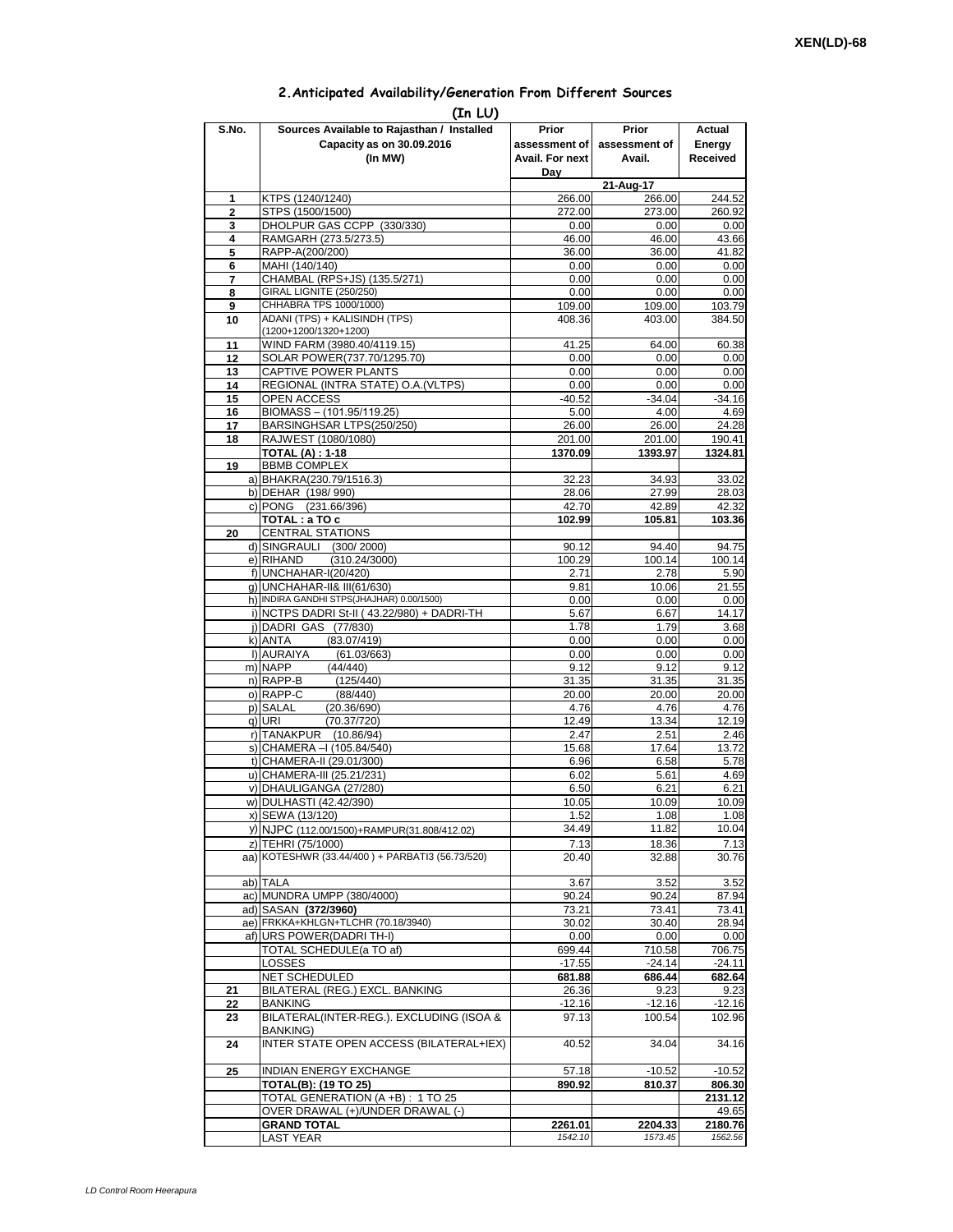## **2.Anticipated Availability/Generation From Different Sources**

|                | (In LU)                                                                            |                                                  |                                  |                              |
|----------------|------------------------------------------------------------------------------------|--------------------------------------------------|----------------------------------|------------------------------|
| S.No.          | Sources Available to Rajasthan / Installed<br>Capacity as on 30.09.2016<br>(In MW) | Prior<br>assessment of<br>Avail. For next<br>Day | Prior<br>assessment of<br>Avail. | Actual<br>Energy<br>Received |
|                |                                                                                    |                                                  | 21-Aug-17                        |                              |
| 1              | KTPS (1240/1240)                                                                   | 266.00                                           | 266.00                           | 244.52                       |
| $\overline{2}$ | STPS (1500/1500)                                                                   | 272.00                                           | 273.00                           | 260.92                       |
| 3<br>4         | DHOLPUR GAS CCPP (330/330)<br>RAMGARH (273.5/273.5)                                | 0.00<br>46.00                                    | 0.00<br>46.00                    | 0.00<br>43.66                |
| 5              | RAPP-A(200/200)                                                                    | 36.00                                            | 36.00                            | 41.82                        |
| 6              | MAHI (140/140)                                                                     | 0.00                                             | 0.00                             | 0.00                         |
| 7              | CHAMBAL (RPS+JS) (135.5/271)                                                       | 0.00                                             | 0.00                             | 0.00                         |
| 8              | GIRAL LIGNITE (250/250)                                                            | 0.00                                             | 0.00                             | 0.00                         |
| 9              | CHHABRA TPS 1000/1000)                                                             | 109.00                                           | 109.00                           | 103.79                       |
| 10             | ADANI (TPS) + KALISINDH (TPS)<br>(1200+1200/1320+1200)                             | 408.36                                           | 403.00                           | 384.50                       |
| 11             | WIND FARM (3980.40/4119.15)                                                        | 41.25                                            | 64.00                            | 60.38                        |
| 12             | SOLAR POWER(737.70/1295.70)                                                        | 0.00                                             | 0.00                             | 0.00                         |
| 13             | CAPTIVE POWER PLANTS                                                               | 0.00                                             | 0.00                             | 0.00                         |
| 14             | REGIONAL (INTRA STATE) O.A. (VLTPS)                                                | 0.00                                             | 0.00                             | 0.00                         |
| 15             | OPEN ACCESS                                                                        | $-40.52$                                         | $-34.04$                         | $-34.16$                     |
| 16             | BIOMASS - (101.95/119.25)                                                          | 5.00                                             | 4.00                             | 4.69                         |
| 17             | BARSINGHSAR LTPS(250/250)                                                          | 26.00                                            | 26.00                            | 24.28                        |
| 18             | RAJWEST (1080/1080)<br><b>TOTAL (A): 1-18</b>                                      | 201.00<br>1370.09                                | 201.00<br>1393.97                | 190.41<br>1324.81            |
| 19             | <b>BBMB COMPLEX</b>                                                                |                                                  |                                  |                              |
|                | a) BHAKRA(230.79/1516.3)                                                           | 32.23                                            | 34.93                            | 33.02                        |
|                | b) DEHAR (198/990)                                                                 | 28.06                                            | 27.99                            | 28.03                        |
|                | c) PONG (231.66/396)                                                               | 42.70                                            | 42.89                            | 42.32                        |
|                | TOTAL: a TO c                                                                      | 102.99                                           | 105.81                           | 103.36                       |
| 20             | <b>CENTRAL STATIONS</b>                                                            |                                                  |                                  |                              |
|                | d) SINGRAULI (300/2000)                                                            | 90.12                                            | 94.40                            | 94.75                        |
|                | e) RIHAND<br>(310.24/3000)<br>f) UNCHAHAR-I(20/420)                                | 100.29                                           | 100.14                           | 100.14                       |
|                | g) UNCHAHAR-II& III(61/630)                                                        | 2.71<br>9.81                                     | 2.78<br>10.06                    | 5.90<br>21.55                |
|                | h) INDIRA GANDHI STPS(JHAJHAR) 0.00/1500)                                          | 0.00                                             | 0.00                             | 0.00                         |
|                | i) NCTPS DADRI St-II (43.22/980) + DADRI-TH                                        | 5.67                                             | 6.67                             | 14.17                        |
|                | i) DADRI GAS (77/830)                                                              | 1.78                                             | 1.79                             | 3.68                         |
|                | k) ANTA<br>(83.07/419)                                                             | 0.00                                             | 0.00                             | 0.00                         |
|                | I) AURAIYA<br>(61.03/663)                                                          | 0.00                                             | 0.00                             | 0.00                         |
|                | m) NAPP<br>(44/440)                                                                | 9.12                                             | 9.12                             | 9.12                         |
|                | n) RAPP-B<br>(125/440)<br>o) RAPP-C                                                | 31.35                                            | 31.35                            | 31.35                        |
|                | (88/440)<br>p) SALAL<br>(20.36/690)                                                | 20.00<br>4.76                                    | 20.00<br>4.76                    | 20.00<br>4.76                |
|                | q) URI<br>(70.37/720)                                                              | 12.49                                            | 13.34                            | 12.19                        |
|                | r) TANAKPUR (10.86/94)                                                             | 2.47                                             | 2.51                             | 2.46                         |
|                | s) CHAMERA - (105.84/540)                                                          | 15.68                                            | 17.64                            | 13.72                        |
|                | t) CHAMERA-II (29.01/300)                                                          | 6.96                                             | 6.58                             | 5.78                         |
|                | u) CHAMERA-III (25.21/231)                                                         | 6.02                                             | 5.61                             | 4.69                         |
|                | v) DHAULIGANGA (27/280)                                                            | 6.50                                             | 6.21                             | 6.21                         |
|                | w) DULHASTI (42.42/390)<br>x) SEWA (13/120)                                        | 10.05                                            | 10.09<br>1.08                    | 10.09<br>1.08                |
|                | y) NJPC (112.00/1500)+RAMPUR(31.808/412.02)                                        | 1.52<br>34.49                                    | 11.82                            | 10.04                        |
|                | z) TEHRI (75/1000)                                                                 | 7.13                                             | 18.36                            | 7.13                         |
|                | aa) KOTESHWR (33.44/400) + PARBATI3 (56.73/520)                                    | 20.40                                            | 32.88                            | 30.76                        |
|                | ab) TALA                                                                           | 3.67                                             | 3.52                             | 3.52                         |
|                | ac) MUNDRA UMPP (380/4000)                                                         | 90.24                                            | 90.24                            | 87.94                        |
|                | ad) SASAN (372/3960)                                                               | 73.21                                            | 73.41                            | 73.41                        |
|                | ae) FRKKA+KHLGN+TLCHR (70.18/3940)<br>af) URS POWER(DADRITH-I)                     | 30.02                                            | 30.40<br>0.00                    | 28.94<br>0.00                |
|                | TOTAL SCHEDULE(a TO af)                                                            | 0.00<br>699.44                                   | 710.58                           | 706.75                       |
|                | LOSSES                                                                             | $-17.55$                                         | $-24.14$                         | $-24.11$                     |
|                | NET SCHEDULED                                                                      | 681.88                                           | 686.44                           | 682.64                       |
| 21             | BILATERAL (REG.) EXCL. BANKING                                                     | 26.36                                            | 9.23                             | 9.23                         |
| 22             | <b>BANKING</b>                                                                     | $-12.16$                                         | $-12.16$                         | $-12.16$                     |
| 23             | BILATERAL(INTER-REG.). EXCLUDING (ISOA &<br><b>BANKING)</b>                        | 97.13                                            | 100.54                           | 102.96                       |
| 24             | INTER STATE OPEN ACCESS (BILATERAL+IEX)                                            | 40.52                                            | 34.04                            | 34.16                        |
| 25             | <b>INDIAN ENERGY EXCHANGE</b>                                                      | 57.18                                            | $-10.52$                         | $-10.52$                     |
|                | TOTAL(B): (19 TO 25)                                                               | 890.92                                           | 810.37                           | 806.30                       |
|                | TOTAL GENERATION (A +B) : 1 TO 25<br>OVER DRAWAL (+)/UNDER DRAWAL (-)              |                                                  |                                  | 2131.12                      |
|                | <b>GRAND TOTAL</b>                                                                 | 2261.01                                          | 2204.33                          | 49.65<br>2180.76             |
|                | LAST YEAR                                                                          | 1542.10                                          | 1573.45                          | 1562.56                      |
|                |                                                                                    |                                                  |                                  |                              |